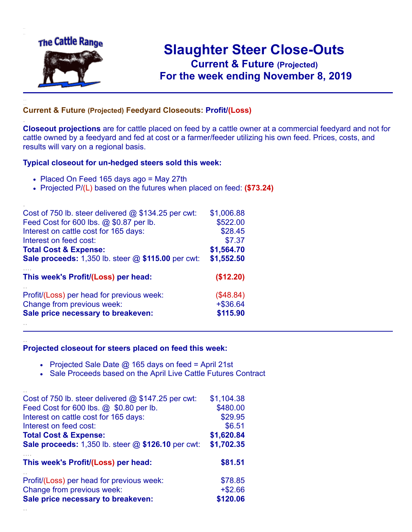

.

..

## **Slaughter Steer Close-Outs Current & Future (Projected)** .**For the week ending November 8, 2019**

## **Current & Future (Projected) Feedyard Closeouts: Profit/(Loss)**

**Closeout projections** are for cattle placed on feed by a cattle owner at a commercial feedyard and not for cattle owned by a feedyard and fed at cost or a farmer/feeder utilizing his own feed. Prices, costs, and results will vary on a regional basis.

## **Typical closeout for un-hedged steers sold this week:**

- Placed On Feed 165 days ago = May 27th
- Projected P/(L) based on the futures when placed on feed: **(\$73.24)**

| Cost of 750 lb. steer delivered $@$ \$134.25 per cwt: | \$1,006.88  |
|-------------------------------------------------------|-------------|
| Feed Cost for 600 lbs. @ \$0.87 per lb.               | \$522.00    |
| Interest on cattle cost for 165 days:                 | \$28.45     |
| Interest on feed cost:                                | \$7.37      |
| <b>Total Cost &amp; Expense:</b>                      | \$1,564.70  |
| Sale proceeds: 1,350 lb. steer @ \$115.00 per cwt:    | \$1,552.50  |
| This week's Profit/(Loss) per head:                   | (\$12.20)   |
| Profit/(Loss) per head for previous week:             | (\$48.84)   |
| Change from previous week:                            | $+$ \$36.64 |
| Sale price necessary to breakeven:                    | \$115.90    |
|                                                       |             |

## **Projected closeout for steers placed on feed this week:**

- Projected Sale Date  $@$  165 days on feed = April 21st
- Sale Proceeds based on the April Live Cattle Futures Contract

| Cost of 750 lb. steer delivered $@$ \$147.25 per cwt:     | \$1,104.38 |
|-----------------------------------------------------------|------------|
| Feed Cost for 600 lbs. @ \$0.80 per lb.                   | \$480.00   |
| Interest on cattle cost for 165 days:                     | \$29.95    |
| Interest on feed cost:                                    | \$6.51     |
| <b>Total Cost &amp; Expense:</b>                          | \$1,620.84 |
| <b>Sale proceeds:</b> 1,350 lb. steer @ \$126.10 per cwt: | \$1,702.35 |
| This week's Profit/(Loss) per head:                       |            |
|                                                           | \$81.51    |
| Profit/(Loss) per head for previous week:                 | \$78.85    |
| Change from previous week:                                | $+ $2.66$  |
| Sale price necessary to breakeven:                        | \$120.06   |